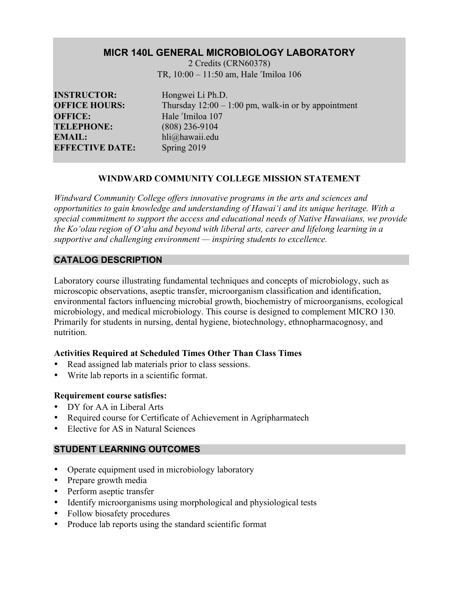# **MICR 140L GENERAL MICROBIOLOGY LABORATORY**

2 Credits (CRN60378) TR, 10:00 – 11:50 am, Hale ʹImiloa 106

**INSTRUCTOR:** Hongwei Li Ph.D. **OFFICE:** Hale <sup>'Imiloa</sup> 107 **TELEPHONE:** (808) 236-9104 **EMAIL:** hli@hawaii.edu **EFFECTIVE DATE:** Spring 2019

**OFFICE HOURS:** Thursday  $12:00 - 1:00$  pm, walk-in or by appointment

# **WINDWARD COMMUNITY COLLEGE MISSION STATEMENT**

*Windward Community College offers innovative programs in the arts and sciences and opportunities to gain knowledge and understanding of Hawai'i and its unique heritage. With a special commitment to support the access and educational needs of Native Hawaiians, we provide the Ko'olau region of Oʻahu and beyond with liberal arts, career and lifelong learning in a supportive and challenging environment — inspiring students to excellence.*

# **CATALOG DESCRIPTION**

Laboratory course illustrating fundamental techniques and concepts of microbiology, such as microscopic observations, aseptic transfer, microorganism classification and identification, environmental factors influencing microbial growth, biochemistry of microorganisms, ecological microbiology, and medical microbiology. This course is designed to complement MICRO 130. Primarily for students in nursing, dental hygiene, biotechnology, ethnopharmacognosy, and nutrition.

# **Activities Required at Scheduled Times Other Than Class Times**

- Read assigned lab materials prior to class sessions.
- Write lab reports in a scientific format.

# **Requirement course satisfies:**

- DY for AA in Liberal Arts
- Required course for Certificate of Achievement in Agripharmatech
- Elective for AS in Natural Sciences

# **STUDENT LEARNING OUTCOMES**

- Operate equipment used in microbiology laboratory
- Prepare growth media
- Perform aseptic transfer
- Identify microorganisms using morphological and physiological tests
- Follow biosafety procedures
- Produce lab reports using the standard scientific format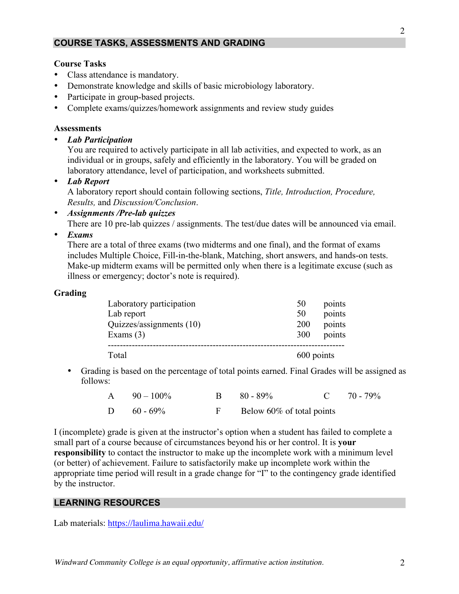# **COURSE TASKS, ASSESSMENTS AND GRADING**

### **Course Tasks**

- Class attendance is mandatory.
- Demonstrate knowledge and skills of basic microbiology laboratory.
- Participate in group-based projects.
- Complete exams/quizzes/homework assignments and review study guides

#### **Assessments**

• *Lab Participation* 

You are required to actively participate in all lab activities, and expected to work, as an individual or in groups, safely and efficiently in the laboratory. You will be graded on laboratory attendance, level of participation, and worksheets submitted.

• *Lab Report*

A laboratory report should contain following sections, *Title, Introduction, Procedure, Results,* and *Discussion/Conclusion*.

• *Assignments /Pre-lab quizzes* 

There are 10 pre-lab quizzes / assignments. The test/due dates will be announced via email.

• *Exams*

There are a total of three exams (two midterms and one final), and the format of exams includes Multiple Choice, Fill-in-the-blank, Matching, short answers, and hands-on tests. Make-up midterm exams will be permitted only when there is a legitimate excuse (such as illness or emergency; doctor's note is required).

### **Grading**

| Total                                  |                  | 600 points       |  |
|----------------------------------------|------------------|------------------|--|
| Exams $(3)$                            | 300              | points           |  |
| Lab report<br>Quizzes/assignments (10) | 50<br><b>200</b> | points<br>points |  |
| Laboratory participation               | 50               | points           |  |

• Grading is based on the percentage of total points earned. Final Grades will be assigned as follows:

| $A = 90 - 100\%$ | $B = 80 - 89\%$             | C $70 - 79\%$ |
|------------------|-----------------------------|---------------|
| D $60 - 69\%$    | F Below 60% of total points |               |

I (incomplete) grade is given at the instructor's option when a student has failed to complete a small part of a course because of circumstances beyond his or her control. It is **your responsibility** to contact the instructor to make up the incomplete work with a minimum level (or better) of achievement. Failure to satisfactorily make up incomplete work within the appropriate time period will result in a grade change for "I" to the contingency grade identified by the instructor.

### **LEARNING RESOURCES**

Lab materials: https://laulima.hawaii.edu/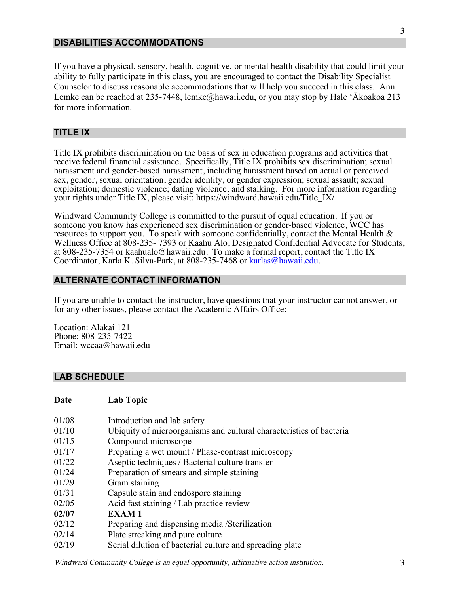### **DISABILITIES ACCOMMODATIONS**

If you have a physical, sensory, health, cognitive, or mental health disability that could limit your ability to fully participate in this class, you are encouraged to contact the Disability Specialist Counselor to discuss reasonable accommodations that will help you succeed in this class. Ann Lemke can be reached at 235-7448, lemke@hawaii.edu, or you may stop by Hale 'Ākoakoa 213 for more information.

### **TITLE IX**

Title IX prohibits discrimination on the basis of sex in education programs and activities that receive federal financial assistance. Specifically, Title IX prohibits sex discrimination; sexual harassment and gender-based harassment, including harassment based on actual or perceived sex, gender, sexual orientation, gender identity, or gender expression; sexual assault; sexual exploitation; domestic violence; dating violence; and stalking. For more information regarding your rights under Title IX, please visit: https://windward.hawaii.edu/Title\_IX/.

Windward Community College is committed to the pursuit of equal education. If you or someone you know has experienced sex discrimination or gender-based violence, WCC has resources to support you. To speak with someone confidentially, contact the Mental Health & Wellness Office at 808-235- 7393 or Kaahu Alo, Designated Confidential Advocate for Students, at 808-235-7354 or kaahualo@hawaii.edu. To make a formal report, contact the Title IX Coordinator, Karla K. Silva-Park, at 808-235-7468 or karlas@hawaii.edu.

### **ALTERNATE CONTACT INFORMATION**

If you are unable to contact the instructor, have questions that your instructor cannot answer, or for any other issues, please contact the Academic Affairs Office:

Location: Alakai 121 Phone: 808-235-7422 Email: wccaa@hawaii.edu

### **LAB SCHEDULE**

| Date  | Lab Topic                                                           |
|-------|---------------------------------------------------------------------|
|       |                                                                     |
| 01/08 | Introduction and lab safety                                         |
| 01/10 | Ubiquity of microorganisms and cultural characteristics of bacteria |
| 01/15 | Compound microscope                                                 |
| 01/17 | Preparing a wet mount / Phase-contrast microscopy                   |
| 01/22 | Aseptic techniques / Bacterial culture transfer                     |
| 01/24 | Preparation of smears and simple staining                           |
| 01/29 | Gram staining                                                       |
| 01/31 | Capsule stain and endospore staining                                |
| 02/05 | Acid fast staining / Lab practice review                            |
| 02/07 | <b>EXAM1</b>                                                        |
| 02/12 | Preparing and dispensing media /Sterilization                       |
| 02/14 | Plate streaking and pure culture                                    |
| 02/19 | Serial dilution of bacterial culture and spreading plate            |

Windward Community College is an equal opportunity, affirmative action institution. 3